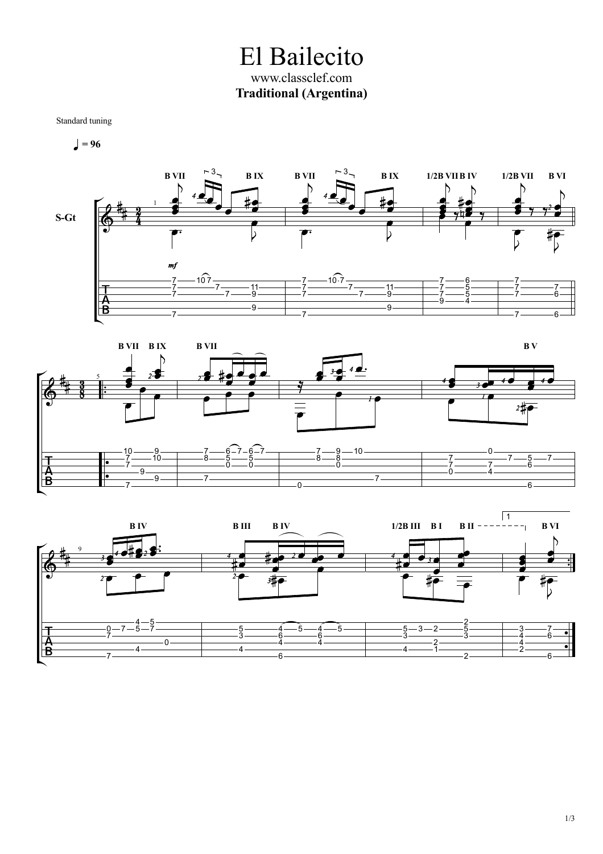El Bailecito www.classclef.com **Traditional (Argentina)**

Standard tuning

$$
\Box = 96
$$





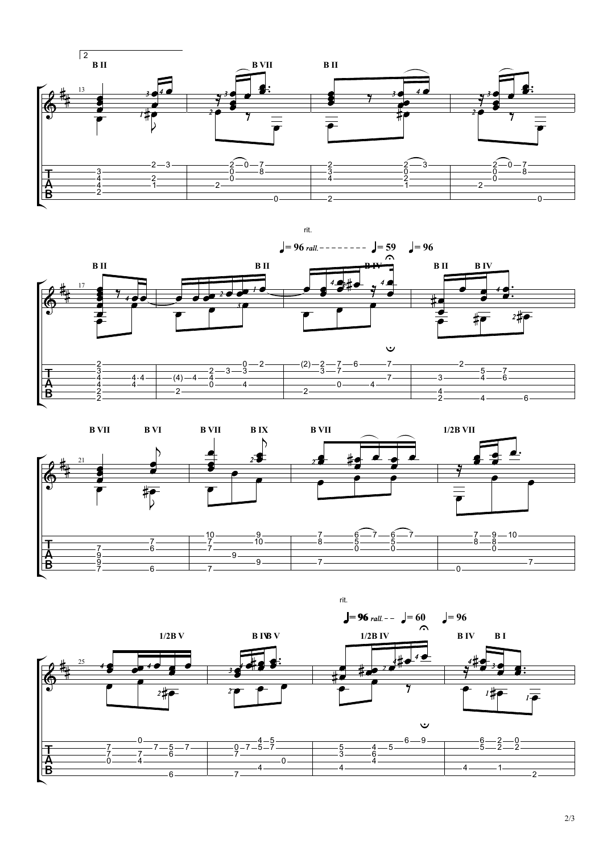

rit.